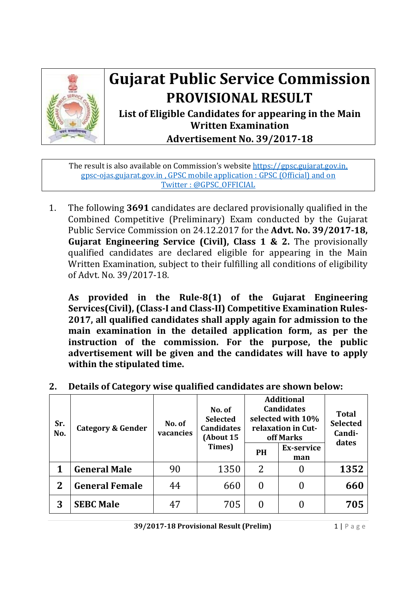

## **Gujarat Public Service Commission PROVISIONAL RESULT**

**List of Eligible Candidates for appearing in the Main Written Examination Advertisement No. 39/2017‐18**

The result is also available on Commission's website https://gpsc.gujarat.gov.in, gpsc-ojas.gujarat.gov.in, GPSC mobile application : GPSC (Official) and on Twitter: @GPSC\_OFFICIAL

1. The following 3691 candidates are declared provisionally qualified in the Combined Competitive (Preliminary) Exam conducted by the Gujarat Public Service Commission on 24.12.2017 for the **Advt. No. 39/2017‐18, Gujarat Engineering Service (Civil), Class 1 & 2.** The provisionally qualified candidates are declared eligible for appearing in the Main Written Examination, subject to their fulfilling all conditions of eligibility of Advt. No. 39/2017-18.

**As provided in the Rule‐8(1) of the Gujarat Engineering Services(Civil), (Class‐I and Class‐II) Competitive Examination Rules‐ 2017, all qualified candidates shall apply again for admission to the main examination in the detailed application form, as per the instruction of the commission. For the purpose, the public advertisement will be given and the candidates will have to apply within the stipulated time.**

| Sr.<br>No. | <b>Category &amp; Gender</b> | No. of<br>vacancies | No. of<br><b>Selected</b><br><b>Candidates</b><br>(About 15 | <b>Additional</b><br><b>Candidates</b><br>selected with 10%<br>relaxation in Cut-<br>off Marks |                          | <b>Total</b><br><b>Selected</b><br>Candi-<br>dates |
|------------|------------------------------|---------------------|-------------------------------------------------------------|------------------------------------------------------------------------------------------------|--------------------------|----------------------------------------------------|
|            |                              |                     | Times)                                                      | PH                                                                                             | <b>Ex-service</b><br>man |                                                    |
|            | <b>General Male</b>          | 90                  | 1350                                                        | 2                                                                                              |                          | 1352                                               |
| $\bf{2}$   | <b>General Female</b>        | 44                  | 660                                                         |                                                                                                |                          | 660                                                |
| 3          | <b>SEBC Male</b>             | 47                  | 705                                                         |                                                                                                |                          | 705                                                |

**2. Details of Category wise qualified candidates are shown below:**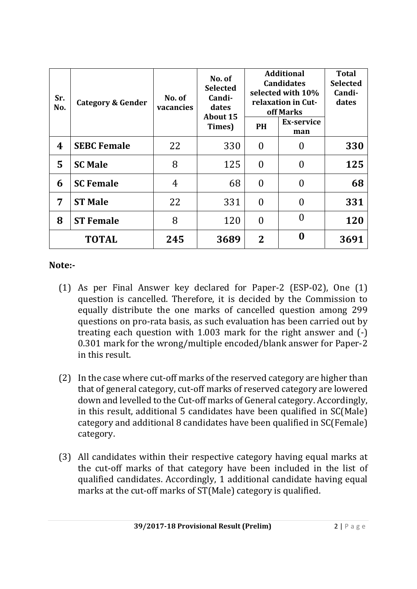| Sr.<br><b>Category &amp; Gender</b><br>No. |                    | No. of<br>vacancies | No. of<br><b>Selected</b><br>Candi-<br>dates<br><b>About 15</b> |           | <b>Additional</b><br><b>Candidates</b><br>selected with 10%<br>relaxation in Cut-<br>off Marks |      |  |
|--------------------------------------------|--------------------|---------------------|-----------------------------------------------------------------|-----------|------------------------------------------------------------------------------------------------|------|--|
|                                            |                    |                     | Times)                                                          | <b>PH</b> | <b>Ex-service</b><br>man                                                                       |      |  |
| 4                                          | <b>SEBC Female</b> | 22                  | 330                                                             | $\theta$  | 0                                                                                              | 330  |  |
| 5                                          | <b>SC Male</b>     | 8                   | 125                                                             | $\theta$  | 0                                                                                              | 125  |  |
| 6                                          | <b>SC Female</b>   | 4                   | 68                                                              | $\theta$  | 0                                                                                              | 68   |  |
| 7                                          | <b>ST Male</b>     | 22                  | 331                                                             | $\theta$  | $\Omega$                                                                                       | 331  |  |
| 8                                          | <b>ST Female</b>   | 8                   | 120                                                             | $\theta$  | 0                                                                                              | 120  |  |
|                                            | <b>TOTAL</b>       | 245                 | 3689                                                            | $\bf{2}$  | 0                                                                                              | 3691 |  |

## **Note:‐**

- (1) As per Final Answer key declared for Paper-2 (ESP-02), One (1) question is cancelled. Therefore, it is decided by the Commission to equally distribute the one marks of cancelled question among 299 questions on pro-rata basis, as such evaluation has been carried out by treating each question with  $1.003$  mark for the right answer and  $(-)$ 0.301 mark for the wrong/multiple encoded/blank answer for Paper-2 in this result.
- (2) In the case where cut-off marks of the reserved category are higher than that of general category, cut-off marks of reserved category are lowered down and levelled to the Cut-off marks of General category. Accordingly, in this result, additional  $5$  candidates have been qualified in  $SC(Male)$ category and additional 8 candidates have been qualified in SC(Female) category.
- (3) All candidates within their respective category having equal marks at the cut-off marks of that category have been included in the list of qualified candidates. Accordingly, 1 additional candidate having equal marks at the cut-off marks of ST(Male) category is qualified.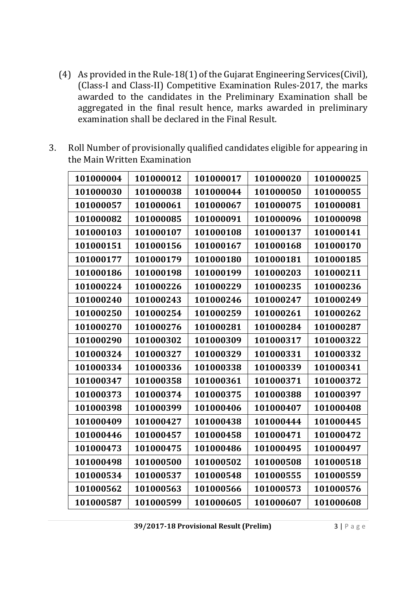- (4) As provided in the Rule-18(1) of the Gujarat Engineering Services(Civil), (Class-I and Class-II) Competitive Examination Rules-2017, the marks awarded to the candidates in the Preliminary Examination shall be aggregated in the final result hence, marks awarded in preliminary examination shall be declared in the Final Result.
- 3. Roll Number of provisionally qualified candidates eligible for appearing in the Main Written Examination

| 101000004 | 101000012 | 101000017 | 101000020 | 101000025 |
|-----------|-----------|-----------|-----------|-----------|
| 101000030 | 101000038 | 101000044 | 101000050 | 101000055 |
| 101000057 | 101000061 | 101000067 | 101000075 | 101000081 |
| 101000082 | 101000085 | 101000091 | 101000096 | 101000098 |
| 101000103 | 101000107 | 101000108 | 101000137 | 101000141 |
| 101000151 | 101000156 | 101000167 | 101000168 | 101000170 |
| 101000177 | 101000179 | 101000180 | 101000181 | 101000185 |
| 101000186 | 101000198 | 101000199 | 101000203 | 101000211 |
| 101000224 | 101000226 | 101000229 | 101000235 | 101000236 |
| 101000240 | 101000243 | 101000246 | 101000247 | 101000249 |
| 101000250 | 101000254 | 101000259 | 101000261 | 101000262 |
| 101000270 | 101000276 | 101000281 | 101000284 | 101000287 |
| 101000290 | 101000302 | 101000309 | 101000317 | 101000322 |
| 101000324 | 101000327 | 101000329 | 101000331 | 101000332 |
| 101000334 | 101000336 | 101000338 | 101000339 | 101000341 |
| 101000347 | 101000358 | 101000361 | 101000371 | 101000372 |
| 101000373 | 101000374 | 101000375 | 101000388 | 101000397 |
| 101000398 | 101000399 | 101000406 | 101000407 | 101000408 |
| 101000409 | 101000427 | 101000438 | 101000444 | 101000445 |
| 101000446 | 101000457 | 101000458 | 101000471 | 101000472 |
| 101000473 | 101000475 | 101000486 | 101000495 | 101000497 |
| 101000498 | 101000500 | 101000502 | 101000508 | 101000518 |
| 101000534 | 101000537 | 101000548 | 101000555 | 101000559 |
| 101000562 | 101000563 | 101000566 | 101000573 | 101000576 |
| 101000587 | 101000599 | 101000605 | 101000607 | 101000608 |

**39/2017‐18 Provisional Result (Prelim)** 3 | Page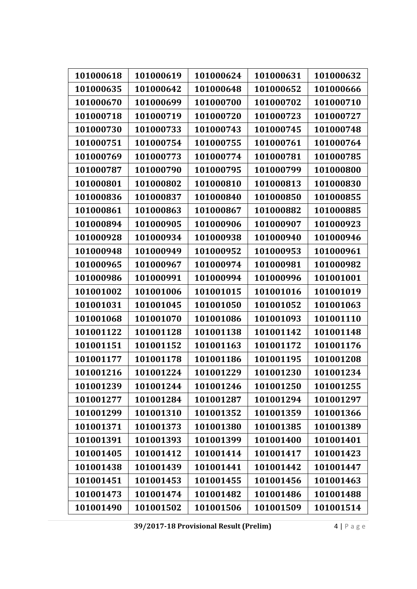| 101000618 | 101000619 | 101000624 | 101000631 | 101000632 |
|-----------|-----------|-----------|-----------|-----------|
| 101000635 | 101000642 | 101000648 | 101000652 | 101000666 |
| 101000670 | 101000699 | 101000700 | 101000702 | 101000710 |
| 101000718 | 101000719 | 101000720 | 101000723 | 101000727 |
| 101000730 | 101000733 | 101000743 | 101000745 | 101000748 |
| 101000751 | 101000754 | 101000755 | 101000761 | 101000764 |
| 101000769 | 101000773 | 101000774 | 101000781 | 101000785 |
| 101000787 | 101000790 | 101000795 | 101000799 | 101000800 |
| 101000801 | 101000802 | 101000810 | 101000813 | 101000830 |
| 101000836 | 101000837 | 101000840 | 101000850 | 101000855 |
| 101000861 | 101000863 | 101000867 | 101000882 | 101000885 |
| 101000894 | 101000905 | 101000906 | 101000907 | 101000923 |
| 101000928 | 101000934 | 101000938 | 101000940 | 101000946 |
| 101000948 | 101000949 | 101000952 | 101000953 | 101000961 |
| 101000965 | 101000967 | 101000974 | 101000981 | 101000982 |
| 101000986 | 101000991 | 101000994 | 101000996 | 101001001 |
| 101001002 | 101001006 | 101001015 | 101001016 | 101001019 |
| 101001031 | 101001045 | 101001050 | 101001052 | 101001063 |
| 101001068 | 101001070 | 101001086 | 101001093 | 101001110 |
| 101001122 | 101001128 | 101001138 | 101001142 | 101001148 |
| 101001151 | 101001152 | 101001163 | 101001172 | 101001176 |
| 101001177 | 101001178 | 101001186 | 101001195 | 101001208 |
| 101001216 | 101001224 | 101001229 | 101001230 | 101001234 |
| 101001239 | 101001244 | 101001246 | 101001250 | 101001255 |
| 101001277 | 101001284 | 101001287 | 101001294 | 101001297 |
| 101001299 | 101001310 | 101001352 | 101001359 | 101001366 |
| 101001371 | 101001373 | 101001380 | 101001385 | 101001389 |
| 101001391 | 101001393 | 101001399 | 101001400 | 101001401 |
| 101001405 | 101001412 | 101001414 | 101001417 | 101001423 |
| 101001438 | 101001439 | 101001441 | 101001442 | 101001447 |
| 101001451 | 101001453 | 101001455 | 101001456 | 101001463 |
| 101001473 | 101001474 | 101001482 | 101001486 | 101001488 |
| 101001490 | 101001502 | 101001506 | 101001509 | 101001514 |

**39/2017‐18 Provisional Result (Prelim)** 4 | Page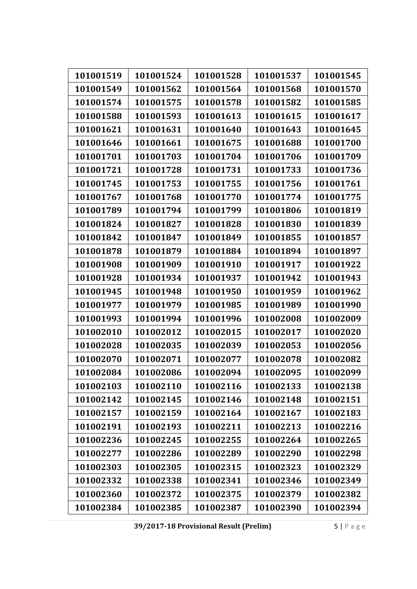| 101001519 | 101001524 | 101001528 | 101001537 | 101001545 |
|-----------|-----------|-----------|-----------|-----------|
| 101001549 | 101001562 | 101001564 | 101001568 | 101001570 |
| 101001574 | 101001575 | 101001578 | 101001582 | 101001585 |
| 101001588 | 101001593 | 101001613 | 101001615 | 101001617 |
|           |           |           |           |           |
| 101001621 | 101001631 | 101001640 | 101001643 | 101001645 |
| 101001646 | 101001661 | 101001675 | 101001688 | 101001700 |
| 101001701 | 101001703 | 101001704 | 101001706 | 101001709 |
| 101001721 | 101001728 | 101001731 | 101001733 | 101001736 |
| 101001745 | 101001753 | 101001755 | 101001756 | 101001761 |
| 101001767 | 101001768 | 101001770 | 101001774 | 101001775 |
| 101001789 | 101001794 | 101001799 | 101001806 | 101001819 |
| 101001824 | 101001827 | 101001828 | 101001830 | 101001839 |
| 101001842 | 101001847 | 101001849 | 101001855 | 101001857 |
| 101001878 | 101001879 | 101001884 | 101001894 | 101001897 |
| 101001908 | 101001909 | 101001910 | 101001917 | 101001922 |
| 101001928 | 101001934 | 101001937 | 101001942 | 101001943 |
| 101001945 | 101001948 | 101001950 | 101001959 | 101001962 |
| 101001977 | 101001979 | 101001985 | 101001989 | 101001990 |
| 101001993 | 101001994 | 101001996 | 101002008 | 101002009 |
| 101002010 | 101002012 | 101002015 | 101002017 | 101002020 |
| 101002028 | 101002035 | 101002039 | 101002053 | 101002056 |
| 101002070 | 101002071 | 101002077 | 101002078 | 101002082 |
| 101002084 | 101002086 | 101002094 | 101002095 | 101002099 |
| 101002103 | 101002110 | 101002116 | 101002133 | 101002138 |
| 101002142 | 101002145 | 101002146 | 101002148 | 101002151 |
| 101002157 | 101002159 | 101002164 | 101002167 | 101002183 |
| 101002191 | 101002193 | 101002211 | 101002213 | 101002216 |
| 101002236 | 101002245 | 101002255 | 101002264 | 101002265 |
| 101002277 | 101002286 | 101002289 | 101002290 | 101002298 |
| 101002303 | 101002305 | 101002315 | 101002323 | 101002329 |
| 101002332 | 101002338 | 101002341 | 101002346 | 101002349 |
| 101002360 | 101002372 | 101002375 | 101002379 | 101002382 |
| 101002384 | 101002385 | 101002387 | 101002390 | 101002394 |

**39/2017‐18 Provisional Result (Prelim)** 5 | Page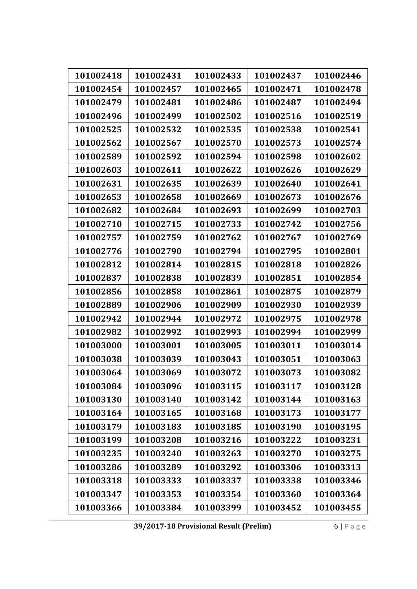| 101002418 | 101002431 | 101002433 | 101002437 | 101002446 |
|-----------|-----------|-----------|-----------|-----------|
| 101002454 | 101002457 | 101002465 | 101002471 | 101002478 |
| 101002479 | 101002481 | 101002486 | 101002487 | 101002494 |
| 101002496 | 101002499 | 101002502 | 101002516 | 101002519 |
| 101002525 | 101002532 | 101002535 | 101002538 | 101002541 |
| 101002562 | 101002567 | 101002570 | 101002573 | 101002574 |
| 101002589 | 101002592 | 101002594 | 101002598 | 101002602 |
| 101002603 | 101002611 | 101002622 | 101002626 | 101002629 |
| 101002631 | 101002635 | 101002639 | 101002640 | 101002641 |
| 101002653 | 101002658 | 101002669 | 101002673 | 101002676 |
| 101002682 | 101002684 | 101002693 | 101002699 | 101002703 |
| 101002710 | 101002715 | 101002733 | 101002742 | 101002756 |
| 101002757 | 101002759 | 101002762 | 101002767 | 101002769 |
| 101002776 | 101002790 | 101002794 | 101002795 | 101002801 |
| 101002812 | 101002814 | 101002815 | 101002818 | 101002826 |
| 101002837 | 101002838 | 101002839 | 101002851 | 101002854 |
| 101002856 | 101002858 | 101002861 | 101002875 | 101002879 |
| 101002889 | 101002906 | 101002909 | 101002930 | 101002939 |
| 101002942 | 101002944 | 101002972 | 101002975 | 101002978 |
| 101002982 | 101002992 | 101002993 | 101002994 | 101002999 |
| 101003000 | 101003001 | 101003005 | 101003011 | 101003014 |
| 101003038 | 101003039 | 101003043 | 101003051 | 101003063 |
| 101003064 | 101003069 | 101003072 | 101003073 | 101003082 |
| 101003084 | 101003096 | 101003115 | 101003117 | 101003128 |
| 101003130 | 101003140 | 101003142 | 101003144 | 101003163 |
| 101003164 | 101003165 | 101003168 | 101003173 | 101003177 |
| 101003179 | 101003183 | 101003185 | 101003190 | 101003195 |
| 101003199 | 101003208 | 101003216 | 101003222 | 101003231 |
| 101003235 | 101003240 | 101003263 | 101003270 | 101003275 |
| 101003286 | 101003289 | 101003292 | 101003306 | 101003313 |
| 101003318 | 101003333 | 101003337 | 101003338 | 101003346 |
| 101003347 | 101003353 | 101003354 | 101003360 | 101003364 |
| 101003366 | 101003384 | 101003399 | 101003452 | 101003455 |

**39/2017‐18 Provisional Result (Prelim)** 6 | Page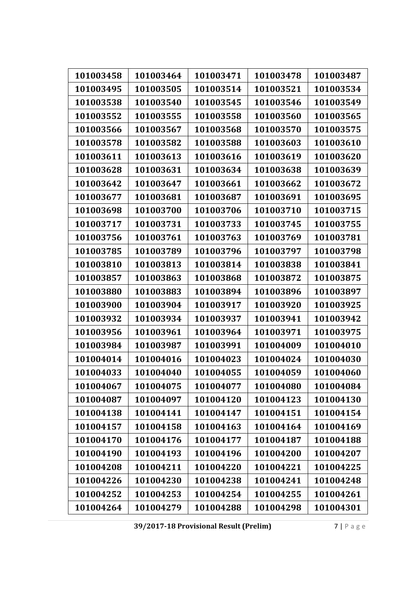| 101003458 | 101003464 | 101003471 | 101003478 | 101003487 |
|-----------|-----------|-----------|-----------|-----------|
| 101003495 | 101003505 | 101003514 | 101003521 | 101003534 |
| 101003538 | 101003540 | 101003545 | 101003546 | 101003549 |
|           |           |           |           |           |
| 101003552 | 101003555 | 101003558 | 101003560 | 101003565 |
| 101003566 | 101003567 | 101003568 | 101003570 | 101003575 |
| 101003578 | 101003582 | 101003588 | 101003603 | 101003610 |
| 101003611 | 101003613 | 101003616 | 101003619 | 101003620 |
| 101003628 | 101003631 | 101003634 | 101003638 | 101003639 |
| 101003642 | 101003647 | 101003661 | 101003662 | 101003672 |
| 101003677 | 101003681 | 101003687 | 101003691 | 101003695 |
| 101003698 | 101003700 | 101003706 | 101003710 | 101003715 |
| 101003717 | 101003731 | 101003733 | 101003745 | 101003755 |
| 101003756 | 101003761 | 101003763 | 101003769 | 101003781 |
| 101003785 | 101003789 | 101003796 | 101003797 | 101003798 |
| 101003810 | 101003813 | 101003814 | 101003838 | 101003841 |
| 101003857 | 101003863 | 101003868 | 101003872 | 101003875 |
| 101003880 | 101003883 | 101003894 | 101003896 | 101003897 |
| 101003900 | 101003904 | 101003917 | 101003920 | 101003925 |
| 101003932 | 101003934 | 101003937 | 101003941 | 101003942 |
| 101003956 | 101003961 | 101003964 | 101003971 | 101003975 |
| 101003984 | 101003987 | 101003991 | 101004009 | 101004010 |
| 101004014 | 101004016 | 101004023 | 101004024 | 101004030 |
| 101004033 | 101004040 | 101004055 | 101004059 | 101004060 |
| 101004067 | 101004075 | 101004077 | 101004080 | 101004084 |
| 101004087 | 101004097 | 101004120 | 101004123 | 101004130 |
| 101004138 | 101004141 | 101004147 | 101004151 | 101004154 |
| 101004157 | 101004158 | 101004163 | 101004164 | 101004169 |
| 101004170 | 101004176 | 101004177 | 101004187 | 101004188 |
| 101004190 | 101004193 | 101004196 | 101004200 | 101004207 |
| 101004208 | 101004211 | 101004220 | 101004221 | 101004225 |
| 101004226 | 101004230 | 101004238 | 101004241 | 101004248 |
| 101004252 | 101004253 | 101004254 | 101004255 | 101004261 |
| 101004264 | 101004279 | 101004288 | 101004298 | 101004301 |

**39/2017‐18 Provisional Result (Prelim)** 7 | Page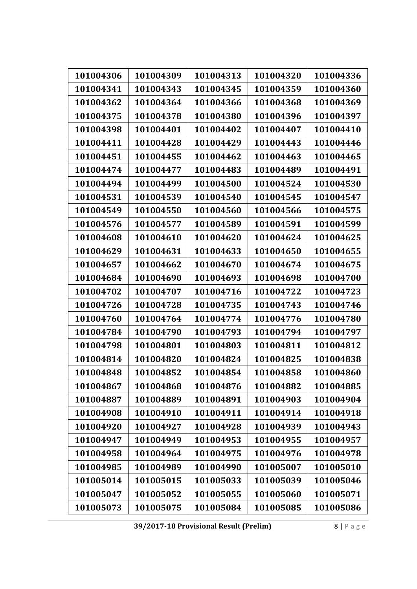| 101004306 | 101004309 | 101004313 | 101004320 | 101004336 |
|-----------|-----------|-----------|-----------|-----------|
| 101004341 | 101004343 | 101004345 | 101004359 | 101004360 |
| 101004362 | 101004364 | 101004366 | 101004368 | 101004369 |
| 101004375 | 101004378 | 101004380 | 101004396 | 101004397 |
| 101004398 | 101004401 | 101004402 | 101004407 | 101004410 |
| 101004411 | 101004428 | 101004429 | 101004443 | 101004446 |
| 101004451 | 101004455 | 101004462 | 101004463 | 101004465 |
| 101004474 | 101004477 | 101004483 | 101004489 | 101004491 |
| 101004494 | 101004499 | 101004500 | 101004524 | 101004530 |
| 101004531 | 101004539 | 101004540 | 101004545 | 101004547 |
| 101004549 | 101004550 | 101004560 | 101004566 | 101004575 |
| 101004576 | 101004577 | 101004589 | 101004591 | 101004599 |
| 101004608 | 101004610 | 101004620 | 101004624 | 101004625 |
| 101004629 | 101004631 | 101004633 | 101004650 | 101004655 |
| 101004657 | 101004662 | 101004670 | 101004674 | 101004675 |
| 101004684 | 101004690 | 101004693 | 101004698 | 101004700 |
| 101004702 | 101004707 | 101004716 | 101004722 | 101004723 |
| 101004726 | 101004728 | 101004735 | 101004743 | 101004746 |
| 101004760 | 101004764 | 101004774 | 101004776 | 101004780 |
| 101004784 | 101004790 | 101004793 | 101004794 | 101004797 |
| 101004798 | 101004801 | 101004803 | 101004811 | 101004812 |
| 101004814 | 101004820 | 101004824 | 101004825 | 101004838 |
| 101004848 | 101004852 | 101004854 | 101004858 | 101004860 |
| 101004867 | 101004868 | 101004876 | 101004882 | 101004885 |
| 101004887 | 101004889 | 101004891 | 101004903 | 101004904 |
| 101004908 | 101004910 | 101004911 | 101004914 | 101004918 |
| 101004920 | 101004927 | 101004928 | 101004939 | 101004943 |
| 101004947 | 101004949 | 101004953 | 101004955 | 101004957 |
| 101004958 | 101004964 | 101004975 | 101004976 | 101004978 |
| 101004985 | 101004989 | 101004990 | 101005007 | 101005010 |
| 101005014 | 101005015 | 101005033 | 101005039 | 101005046 |
| 101005047 | 101005052 | 101005055 | 101005060 | 101005071 |
| 101005073 | 101005075 | 101005084 | 101005085 | 101005086 |

**39/2017‐18 Provisional Result (Prelim)** 8 | Page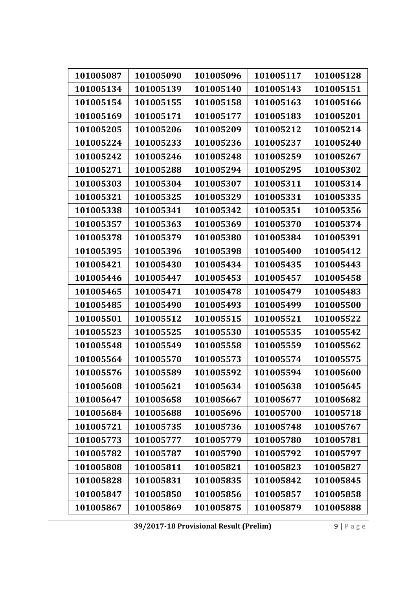| 101005087 | 101005090 | 101005096 | 101005117 | 101005128 |
|-----------|-----------|-----------|-----------|-----------|
| 101005134 | 101005139 | 101005140 | 101005143 | 101005151 |
| 101005154 | 101005155 | 101005158 | 101005163 | 101005166 |
| 101005169 | 101005171 | 101005177 | 101005183 | 101005201 |
| 101005205 | 101005206 | 101005209 | 101005212 | 101005214 |
| 101005224 | 101005233 | 101005236 | 101005237 | 101005240 |
| 101005242 | 101005246 | 101005248 | 101005259 | 101005267 |
| 101005271 | 101005288 | 101005294 | 101005295 | 101005302 |
| 101005303 | 101005304 | 101005307 | 101005311 | 101005314 |
| 101005321 | 101005325 | 101005329 | 101005331 | 101005335 |
| 101005338 | 101005341 | 101005342 | 101005351 | 101005356 |
| 101005357 | 101005363 | 101005369 | 101005370 | 101005374 |
| 101005378 | 101005379 | 101005380 | 101005384 | 101005391 |
| 101005395 | 101005396 | 101005398 | 101005400 | 101005412 |
| 101005421 | 101005430 | 101005434 | 101005435 | 101005443 |
| 101005446 | 101005447 | 101005453 | 101005457 | 101005458 |
| 101005465 | 101005471 | 101005478 | 101005479 | 101005483 |
| 101005485 | 101005490 | 101005493 | 101005499 | 101005500 |
| 101005501 | 101005512 | 101005515 | 101005521 | 101005522 |
| 101005523 | 101005525 | 101005530 | 101005535 | 101005542 |
| 101005548 | 101005549 | 101005558 | 101005559 | 101005562 |
| 101005564 | 101005570 | 101005573 | 101005574 | 101005575 |
| 101005576 | 101005589 | 101005592 | 101005594 | 101005600 |
| 101005608 | 101005621 | 101005634 | 101005638 | 101005645 |
| 101005647 | 101005658 | 101005667 | 101005677 | 101005682 |
| 101005684 | 101005688 | 101005696 | 101005700 | 101005718 |
| 101005721 | 101005735 | 101005736 | 101005748 | 101005767 |
| 101005773 | 101005777 | 101005779 | 101005780 | 101005781 |
| 101005782 | 101005787 | 101005790 | 101005792 | 101005797 |
| 101005808 | 101005811 | 101005821 | 101005823 | 101005827 |
| 101005828 | 101005831 | 101005835 | 101005842 | 101005845 |
| 101005847 | 101005850 | 101005856 | 101005857 | 101005858 |
| 101005867 | 101005869 | 101005875 | 101005879 | 101005888 |

**39/2017‐18 Provisional Result (Prelim)** 9 | Page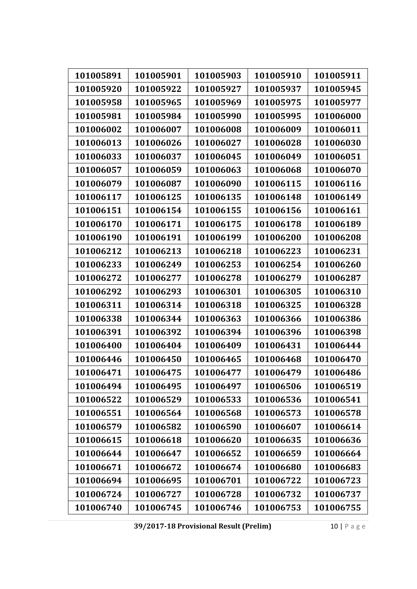| 101005891 | 101005901 | 101005903 | 101005910 | 101005911 |
|-----------|-----------|-----------|-----------|-----------|
| 101005920 | 101005922 | 101005927 | 101005937 | 101005945 |
| 101005958 | 101005965 | 101005969 | 101005975 | 101005977 |
| 101005981 | 101005984 | 101005990 | 101005995 | 101006000 |
| 101006002 | 101006007 | 101006008 | 101006009 | 101006011 |
| 101006013 | 101006026 | 101006027 | 101006028 | 101006030 |
| 101006033 | 101006037 | 101006045 | 101006049 | 101006051 |
| 101006057 | 101006059 | 101006063 | 101006068 | 101006070 |
| 101006079 | 101006087 | 101006090 | 101006115 | 101006116 |
| 101006117 | 101006125 | 101006135 | 101006148 | 101006149 |
| 101006151 | 101006154 | 101006155 | 101006156 | 101006161 |
| 101006170 | 101006171 | 101006175 | 101006178 | 101006189 |
| 101006190 | 101006191 | 101006199 | 101006200 | 101006208 |
| 101006212 | 101006213 | 101006218 | 101006223 | 101006231 |
| 101006233 | 101006249 | 101006253 | 101006254 | 101006260 |
| 101006272 | 101006277 | 101006278 | 101006279 | 101006287 |
| 101006292 | 101006293 | 101006301 | 101006305 | 101006310 |
| 101006311 | 101006314 | 101006318 | 101006325 | 101006328 |
| 101006338 | 101006344 | 101006363 | 101006366 | 101006386 |
| 101006391 | 101006392 | 101006394 | 101006396 | 101006398 |
| 101006400 | 101006404 | 101006409 | 101006431 | 101006444 |
| 101006446 | 101006450 | 101006465 | 101006468 | 101006470 |
| 101006471 | 101006475 | 101006477 | 101006479 | 101006486 |
| 101006494 | 101006495 | 101006497 | 101006506 | 101006519 |
| 101006522 | 101006529 | 101006533 | 101006536 | 101006541 |
| 101006551 | 101006564 | 101006568 | 101006573 | 101006578 |
| 101006579 | 101006582 | 101006590 | 101006607 | 101006614 |
| 101006615 | 101006618 | 101006620 | 101006635 | 101006636 |
| 101006644 | 101006647 | 101006652 | 101006659 | 101006664 |
| 101006671 | 101006672 | 101006674 | 101006680 | 101006683 |
| 101006694 | 101006695 | 101006701 | 101006722 | 101006723 |
| 101006724 | 101006727 | 101006728 | 101006732 | 101006737 |
| 101006740 | 101006745 | 101006746 | 101006753 | 101006755 |

**39/2017‐18 Provisional Result (Prelim)** 10 | Page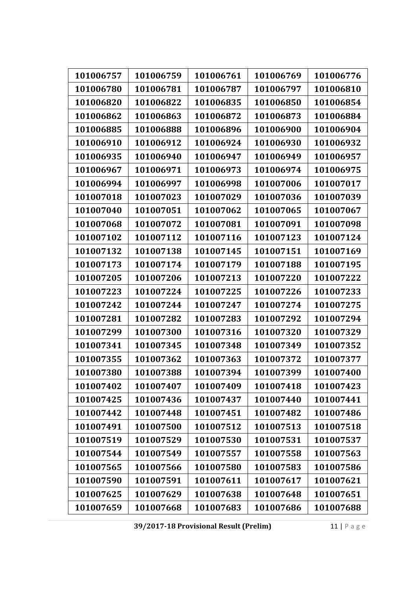| 101006757 | 101006759 | 101006761 | 101006769 | 101006776 |
|-----------|-----------|-----------|-----------|-----------|
| 101006780 | 101006781 | 101006787 | 101006797 | 101006810 |
| 101006820 | 101006822 | 101006835 | 101006850 | 101006854 |
| 101006862 | 101006863 | 101006872 | 101006873 | 101006884 |
| 101006885 | 101006888 | 101006896 | 101006900 | 101006904 |
| 101006910 | 101006912 | 101006924 | 101006930 | 101006932 |
| 101006935 | 101006940 | 101006947 | 101006949 | 101006957 |
| 101006967 | 101006971 | 101006973 | 101006974 | 101006975 |
| 101006994 | 101006997 | 101006998 | 101007006 | 101007017 |
| 101007018 | 101007023 | 101007029 | 101007036 | 101007039 |
| 101007040 | 101007051 | 101007062 | 101007065 | 101007067 |
| 101007068 | 101007072 | 101007081 | 101007091 | 101007098 |
| 101007102 | 101007112 | 101007116 | 101007123 | 101007124 |
| 101007132 | 101007138 | 101007145 | 101007151 | 101007169 |
| 101007173 | 101007174 | 101007179 | 101007188 | 101007195 |
| 101007205 | 101007206 | 101007213 | 101007220 | 101007222 |
| 101007223 | 101007224 | 101007225 | 101007226 | 101007233 |
| 101007242 | 101007244 | 101007247 | 101007274 | 101007275 |
| 101007281 | 101007282 | 101007283 | 101007292 | 101007294 |
| 101007299 | 101007300 | 101007316 | 101007320 | 101007329 |
| 101007341 | 101007345 | 101007348 | 101007349 | 101007352 |
| 101007355 | 101007362 | 101007363 | 101007372 | 101007377 |
| 101007380 | 101007388 | 101007394 | 101007399 | 101007400 |
| 101007402 | 101007407 | 101007409 | 101007418 | 101007423 |
| 101007425 | 101007436 | 101007437 | 101007440 | 101007441 |
| 101007442 | 101007448 | 101007451 | 101007482 | 101007486 |
| 101007491 | 101007500 | 101007512 | 101007513 | 101007518 |
| 101007519 | 101007529 | 101007530 | 101007531 | 101007537 |
| 101007544 | 101007549 | 101007557 | 101007558 | 101007563 |
| 101007565 | 101007566 | 101007580 | 101007583 | 101007586 |
| 101007590 | 101007591 | 101007611 | 101007617 | 101007621 |
| 101007625 | 101007629 | 101007638 | 101007648 | 101007651 |
| 101007659 | 101007668 | 101007683 | 101007686 | 101007688 |

**39/2017‐18 Provisional Result (Prelim)** 11 | Page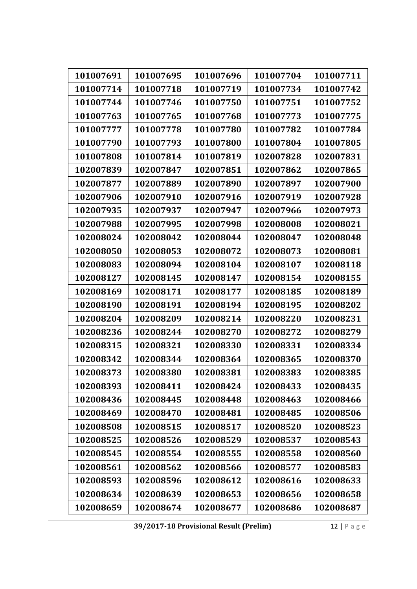| 101007691 | 101007695 | 101007696 | 101007704 | 101007711 |
|-----------|-----------|-----------|-----------|-----------|
| 101007714 | 101007718 | 101007719 | 101007734 | 101007742 |
| 101007744 | 101007746 | 101007750 | 101007751 | 101007752 |
| 101007763 | 101007765 | 101007768 | 101007773 | 101007775 |
| 101007777 | 101007778 | 101007780 | 101007782 | 101007784 |
| 101007790 | 101007793 | 101007800 | 101007804 | 101007805 |
| 101007808 | 101007814 | 101007819 | 102007828 | 102007831 |
| 102007839 | 102007847 | 102007851 | 102007862 | 102007865 |
| 102007877 | 102007889 | 102007890 | 102007897 | 102007900 |
| 102007906 | 102007910 | 102007916 | 102007919 | 102007928 |
| 102007935 | 102007937 | 102007947 | 102007966 | 102007973 |
| 102007988 | 102007995 | 102007998 | 102008008 | 102008021 |
| 102008024 | 102008042 | 102008044 | 102008047 | 102008048 |
| 102008050 | 102008053 | 102008072 | 102008073 | 102008081 |
| 102008083 | 102008094 | 102008104 | 102008107 | 102008118 |
| 102008127 | 102008145 | 102008147 | 102008154 | 102008155 |
| 102008169 | 102008171 | 102008177 | 102008185 | 102008189 |
| 102008190 | 102008191 | 102008194 | 102008195 | 102008202 |
| 102008204 | 102008209 | 102008214 | 102008220 | 102008231 |
| 102008236 | 102008244 | 102008270 | 102008272 | 102008279 |
| 102008315 | 102008321 | 102008330 | 102008331 | 102008334 |
| 102008342 | 102008344 | 102008364 | 102008365 | 102008370 |
| 102008373 | 102008380 | 102008381 | 102008383 | 102008385 |
| 102008393 | 102008411 | 102008424 | 102008433 | 102008435 |
| 102008436 | 102008445 | 102008448 | 102008463 | 102008466 |
| 102008469 | 102008470 | 102008481 | 102008485 | 102008506 |
| 102008508 | 102008515 | 102008517 | 102008520 | 102008523 |
| 102008525 | 102008526 | 102008529 | 102008537 | 102008543 |
| 102008545 | 102008554 | 102008555 | 102008558 | 102008560 |
| 102008561 | 102008562 | 102008566 | 102008577 | 102008583 |
| 102008593 | 102008596 | 102008612 | 102008616 | 102008633 |
| 102008634 | 102008639 | 102008653 | 102008656 | 102008658 |
| 102008659 | 102008674 | 102008677 | 102008686 | 102008687 |

**39/2017‐18 Provisional Result (Prelim)** 12 | Page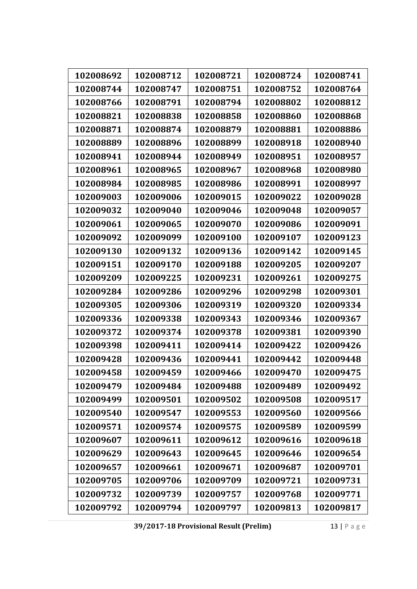| 102008692 | 102008712 | 102008721 | 102008724 | 102008741 |
|-----------|-----------|-----------|-----------|-----------|
| 102008744 | 102008747 | 102008751 | 102008752 | 102008764 |
| 102008766 | 102008791 | 102008794 | 102008802 | 102008812 |
| 102008821 | 102008838 | 102008858 | 102008860 | 102008868 |
| 102008871 | 102008874 | 102008879 | 102008881 | 102008886 |
| 102008889 | 102008896 | 102008899 | 102008918 | 102008940 |
| 102008941 | 102008944 | 102008949 | 102008951 | 102008957 |
| 102008961 | 102008965 | 102008967 | 102008968 | 102008980 |
| 102008984 | 102008985 | 102008986 | 102008991 | 102008997 |
| 102009003 | 102009006 | 102009015 | 102009022 | 102009028 |
| 102009032 | 102009040 | 102009046 | 102009048 | 102009057 |
| 102009061 | 102009065 | 102009070 | 102009086 | 102009091 |
| 102009092 | 102009099 | 102009100 | 102009107 | 102009123 |
| 102009130 | 102009132 | 102009136 | 102009142 | 102009145 |
| 102009151 | 102009170 | 102009188 | 102009205 | 102009207 |
| 102009209 | 102009225 | 102009231 | 102009261 | 102009275 |
| 102009284 | 102009286 | 102009296 | 102009298 | 102009301 |
| 102009305 | 102009306 | 102009319 | 102009320 | 102009334 |
| 102009336 | 102009338 | 102009343 | 102009346 | 102009367 |
| 102009372 | 102009374 | 102009378 | 102009381 | 102009390 |
| 102009398 | 102009411 | 102009414 | 102009422 | 102009426 |
| 102009428 | 102009436 | 102009441 | 102009442 | 102009448 |
| 102009458 | 102009459 | 102009466 | 102009470 | 102009475 |
| 102009479 | 102009484 | 102009488 | 102009489 | 102009492 |
| 102009499 | 102009501 | 102009502 | 102009508 | 102009517 |
| 102009540 | 102009547 | 102009553 | 102009560 | 102009566 |
| 102009571 | 102009574 | 102009575 | 102009589 | 102009599 |
| 102009607 | 102009611 | 102009612 | 102009616 | 102009618 |
| 102009629 | 102009643 | 102009645 | 102009646 | 102009654 |
| 102009657 | 102009661 | 102009671 | 102009687 | 102009701 |
| 102009705 | 102009706 | 102009709 | 102009721 | 102009731 |
| 102009732 | 102009739 | 102009757 | 102009768 | 102009771 |
| 102009792 | 102009794 | 102009797 | 102009813 | 102009817 |

**39/2017‐18 Provisional Result (Prelim)** 13 | Page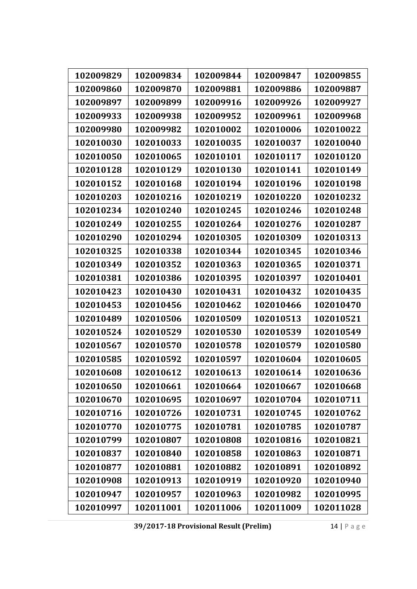| 102009829 | 102009834 | 102009844 | 102009847 | 102009855 |
|-----------|-----------|-----------|-----------|-----------|
| 102009860 | 102009870 | 102009881 | 102009886 | 102009887 |
| 102009897 | 102009899 | 102009916 | 102009926 | 102009927 |
| 102009933 | 102009938 | 102009952 | 102009961 | 102009968 |
| 102009980 | 102009982 | 102010002 | 102010006 | 102010022 |
| 102010030 | 102010033 | 102010035 | 102010037 | 102010040 |
| 102010050 | 102010065 | 102010101 | 102010117 | 102010120 |
| 102010128 | 102010129 | 102010130 | 102010141 | 102010149 |
| 102010152 | 102010168 | 102010194 | 102010196 | 102010198 |
| 102010203 | 102010216 | 102010219 | 102010220 | 102010232 |
| 102010234 | 102010240 | 102010245 | 102010246 | 102010248 |
| 102010249 | 102010255 | 102010264 | 102010276 | 102010287 |
| 102010290 | 102010294 | 102010305 | 102010309 | 102010313 |
| 102010325 | 102010338 | 102010344 | 102010345 | 102010346 |
| 102010349 | 102010352 | 102010363 | 102010365 | 102010371 |
| 102010381 | 102010386 | 102010395 | 102010397 | 102010401 |
| 102010423 | 102010430 | 102010431 | 102010432 | 102010435 |
| 102010453 | 102010456 | 102010462 | 102010466 | 102010470 |
| 102010489 | 102010506 | 102010509 | 102010513 | 102010521 |
| 102010524 | 102010529 | 102010530 | 102010539 | 102010549 |
| 102010567 | 102010570 | 102010578 | 102010579 | 102010580 |
| 102010585 | 102010592 | 102010597 | 102010604 | 102010605 |
| 102010608 | 102010612 | 102010613 | 102010614 | 102010636 |
| 102010650 | 102010661 | 102010664 | 102010667 | 102010668 |
| 102010670 | 102010695 | 102010697 | 102010704 | 102010711 |
| 102010716 | 102010726 | 102010731 | 102010745 | 102010762 |
| 102010770 | 102010775 | 102010781 | 102010785 | 102010787 |
| 102010799 | 102010807 | 102010808 | 102010816 | 102010821 |
| 102010837 | 102010840 | 102010858 | 102010863 | 102010871 |
| 102010877 | 102010881 | 102010882 | 102010891 | 102010892 |
| 102010908 | 102010913 | 102010919 | 102010920 | 102010940 |
| 102010947 | 102010957 | 102010963 | 102010982 | 102010995 |
| 102010997 | 102011001 | 102011006 | 102011009 | 102011028 |

**39/2017‐18 Provisional Result (Prelim)** 14 | Page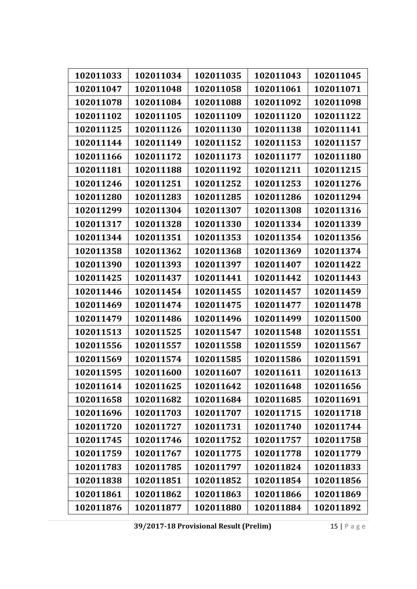| 102011033 | 102011034 | 102011035 | 102011043 | 102011045 |
|-----------|-----------|-----------|-----------|-----------|
| 102011047 | 102011048 | 102011058 | 102011061 | 102011071 |
| 102011078 | 102011084 | 102011088 | 102011092 | 102011098 |
|           |           |           |           |           |
| 102011102 | 102011105 | 102011109 | 102011120 | 102011122 |
| 102011125 | 102011126 | 102011130 | 102011138 | 102011141 |
| 102011144 | 102011149 | 102011152 | 102011153 | 102011157 |
| 102011166 | 102011172 | 102011173 | 102011177 | 102011180 |
| 102011181 | 102011188 | 102011192 | 102011211 | 102011215 |
| 102011246 | 102011251 | 102011252 | 102011253 | 102011276 |
| 102011280 | 102011283 | 102011285 | 102011286 | 102011294 |
| 102011299 | 102011304 | 102011307 | 102011308 | 102011316 |
| 102011317 | 102011328 | 102011330 | 102011334 | 102011339 |
| 102011344 | 102011351 | 102011353 | 102011354 | 102011356 |
| 102011358 | 102011362 | 102011368 | 102011369 | 102011374 |
| 102011390 | 102011393 | 102011397 | 102011407 | 102011422 |
| 102011425 | 102011437 | 102011441 | 102011442 | 102011443 |
| 102011446 | 102011454 | 102011455 | 102011457 | 102011459 |
| 102011469 | 102011474 | 102011475 | 102011477 | 102011478 |
| 102011479 | 102011486 | 102011496 | 102011499 | 102011500 |
| 102011513 | 102011525 | 102011547 | 102011548 | 102011551 |
| 102011556 | 102011557 | 102011558 | 102011559 | 102011567 |
| 102011569 | 102011574 | 102011585 | 102011586 | 102011591 |
| 102011595 | 102011600 | 102011607 | 102011611 | 102011613 |
| 102011614 | 102011625 | 102011642 | 102011648 | 102011656 |
| 102011658 | 102011682 | 102011684 | 102011685 | 102011691 |
| 102011696 | 102011703 | 102011707 | 102011715 | 102011718 |
| 102011720 | 102011727 | 102011731 | 102011740 | 102011744 |
| 102011745 | 102011746 | 102011752 | 102011757 | 102011758 |
| 102011759 | 102011767 | 102011775 | 102011778 | 102011779 |
| 102011783 | 102011785 | 102011797 | 102011824 | 102011833 |
| 102011838 | 102011851 | 102011852 | 102011854 | 102011856 |
| 102011861 | 102011862 | 102011863 | 102011866 | 102011869 |
| 102011876 | 102011877 | 102011880 | 102011884 | 102011892 |

**39/2017‐18 Provisional Result (Prelim)** 15 | Page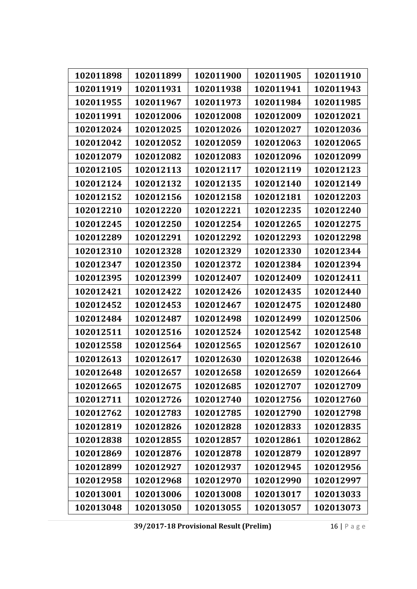| 102011898 | 102011899 | 102011900 | 102011905 | 102011910 |
|-----------|-----------|-----------|-----------|-----------|
| 102011919 | 102011931 | 102011938 | 102011941 | 102011943 |
| 102011955 | 102011967 | 102011973 | 102011984 | 102011985 |
| 102011991 | 102012006 | 102012008 | 102012009 | 102012021 |
| 102012024 | 102012025 | 102012026 | 102012027 | 102012036 |
| 102012042 | 102012052 | 102012059 | 102012063 | 102012065 |
| 102012079 | 102012082 | 102012083 | 102012096 | 102012099 |
| 102012105 | 102012113 | 102012117 | 102012119 | 102012123 |
| 102012124 | 102012132 | 102012135 | 102012140 | 102012149 |
| 102012152 | 102012156 | 102012158 | 102012181 | 102012203 |
| 102012210 | 102012220 | 102012221 | 102012235 | 102012240 |
| 102012245 | 102012250 | 102012254 | 102012265 | 102012275 |
| 102012289 | 102012291 | 102012292 | 102012293 | 102012298 |
| 102012310 | 102012328 | 102012329 | 102012330 | 102012344 |
| 102012347 | 102012350 | 102012372 | 102012384 | 102012394 |
| 102012395 | 102012399 | 102012407 | 102012409 | 102012411 |
| 102012421 | 102012422 | 102012426 | 102012435 | 102012440 |
| 102012452 | 102012453 | 102012467 | 102012475 | 102012480 |
| 102012484 | 102012487 | 102012498 | 102012499 | 102012506 |
| 102012511 | 102012516 | 102012524 | 102012542 | 102012548 |
| 102012558 | 102012564 | 102012565 | 102012567 | 102012610 |
| 102012613 | 102012617 | 102012630 | 102012638 | 102012646 |
| 102012648 | 102012657 | 102012658 | 102012659 | 102012664 |
| 102012665 | 102012675 | 102012685 | 102012707 | 102012709 |
| 102012711 | 102012726 | 102012740 | 102012756 | 102012760 |
| 102012762 | 102012783 | 102012785 | 102012790 | 102012798 |
| 102012819 | 102012826 | 102012828 | 102012833 | 102012835 |
| 102012838 | 102012855 | 102012857 | 102012861 | 102012862 |
| 102012869 | 102012876 | 102012878 | 102012879 | 102012897 |
| 102012899 | 102012927 | 102012937 | 102012945 | 102012956 |
| 102012958 | 102012968 | 102012970 | 102012990 | 102012997 |
| 102013001 | 102013006 | 102013008 | 102013017 | 102013033 |
| 102013048 | 102013050 | 102013055 | 102013057 | 102013073 |

**39/2017‐18 Provisional Result (Prelim)** 16 | Page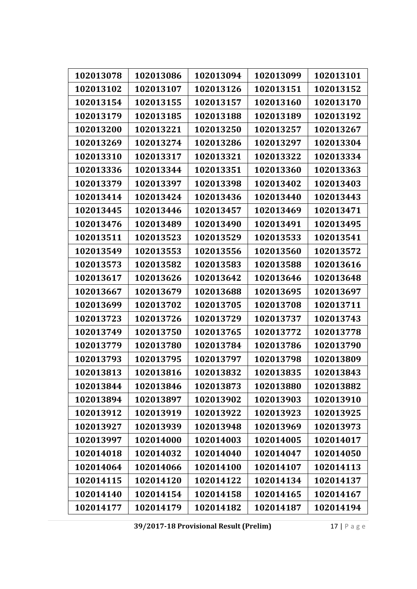| 102013078 | 102013086 | 102013094 | 102013099 | 102013101 |
|-----------|-----------|-----------|-----------|-----------|
| 102013102 | 102013107 | 102013126 | 102013151 | 102013152 |
| 102013154 | 102013155 | 102013157 | 102013160 | 102013170 |
| 102013179 | 102013185 | 102013188 | 102013189 | 102013192 |
| 102013200 | 102013221 | 102013250 | 102013257 | 102013267 |
| 102013269 | 102013274 | 102013286 | 102013297 | 102013304 |
| 102013310 | 102013317 | 102013321 | 102013322 | 102013334 |
| 102013336 | 102013344 | 102013351 | 102013360 | 102013363 |
| 102013379 | 102013397 | 102013398 | 102013402 | 102013403 |
| 102013414 | 102013424 | 102013436 | 102013440 | 102013443 |
| 102013445 | 102013446 | 102013457 | 102013469 | 102013471 |
| 102013476 | 102013489 | 102013490 | 102013491 | 102013495 |
| 102013511 | 102013523 | 102013529 | 102013533 | 102013541 |
| 102013549 | 102013553 | 102013556 | 102013560 | 102013572 |
| 102013573 | 102013582 | 102013583 | 102013588 | 102013616 |
| 102013617 | 102013626 | 102013642 | 102013646 | 102013648 |
| 102013667 | 102013679 | 102013688 | 102013695 | 102013697 |
| 102013699 | 102013702 | 102013705 | 102013708 | 102013711 |
| 102013723 | 102013726 | 102013729 | 102013737 | 102013743 |
| 102013749 | 102013750 | 102013765 | 102013772 | 102013778 |
| 102013779 | 102013780 | 102013784 | 102013786 | 102013790 |
| 102013793 | 102013795 | 102013797 | 102013798 | 102013809 |
| 102013813 | 102013816 | 102013832 | 102013835 | 102013843 |
| 102013844 | 102013846 | 102013873 | 102013880 | 102013882 |
| 102013894 | 102013897 | 102013902 | 102013903 | 102013910 |
| 102013912 | 102013919 | 102013922 | 102013923 | 102013925 |
| 102013927 | 102013939 | 102013948 | 102013969 | 102013973 |
| 102013997 | 102014000 | 102014003 | 102014005 | 102014017 |
| 102014018 | 102014032 | 102014040 | 102014047 | 102014050 |
| 102014064 | 102014066 | 102014100 | 102014107 | 102014113 |
| 102014115 | 102014120 | 102014122 | 102014134 | 102014137 |
| 102014140 | 102014154 | 102014158 | 102014165 | 102014167 |
| 102014177 | 102014179 | 102014182 | 102014187 | 102014194 |

**39/2017‐18 Provisional Result (Prelim)** 17 | Page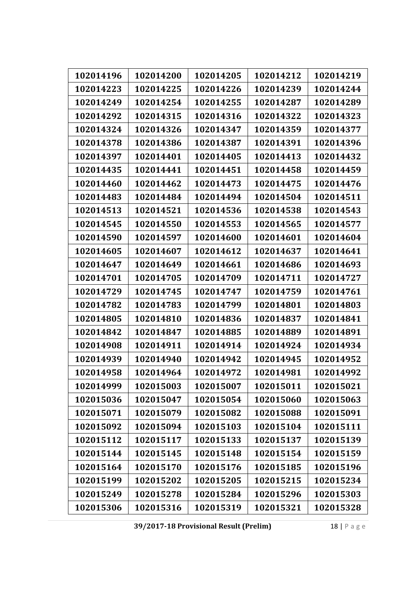| 102014196 | 102014200 | 102014205 | 102014212 | 102014219 |
|-----------|-----------|-----------|-----------|-----------|
| 102014223 | 102014225 | 102014226 | 102014239 | 102014244 |
| 102014249 | 102014254 | 102014255 | 102014287 | 102014289 |
| 102014292 | 102014315 | 102014316 | 102014322 | 102014323 |
| 102014324 | 102014326 | 102014347 | 102014359 | 102014377 |
| 102014378 | 102014386 | 102014387 | 102014391 | 102014396 |
| 102014397 | 102014401 | 102014405 | 102014413 | 102014432 |
| 102014435 | 102014441 | 102014451 | 102014458 | 102014459 |
| 102014460 | 102014462 | 102014473 | 102014475 | 102014476 |
| 102014483 | 102014484 | 102014494 | 102014504 | 102014511 |
| 102014513 | 102014521 | 102014536 | 102014538 | 102014543 |
| 102014545 | 102014550 | 102014553 | 102014565 | 102014577 |
| 102014590 | 102014597 | 102014600 | 102014601 | 102014604 |
| 102014605 | 102014607 | 102014612 | 102014637 | 102014641 |
| 102014647 | 102014649 | 102014661 | 102014686 | 102014693 |
| 102014701 | 102014705 | 102014709 | 102014711 | 102014727 |
| 102014729 | 102014745 | 102014747 | 102014759 | 102014761 |
| 102014782 | 102014783 | 102014799 | 102014801 | 102014803 |
| 102014805 | 102014810 | 102014836 | 102014837 | 102014841 |
| 102014842 | 102014847 | 102014885 | 102014889 | 102014891 |
| 102014908 | 102014911 | 102014914 | 102014924 | 102014934 |
| 102014939 | 102014940 | 102014942 | 102014945 | 102014952 |
| 102014958 | 102014964 | 102014972 | 102014981 | 102014992 |
| 102014999 | 102015003 | 102015007 | 102015011 | 102015021 |
| 102015036 | 102015047 | 102015054 | 102015060 | 102015063 |
| 102015071 | 102015079 | 102015082 | 102015088 | 102015091 |
| 102015092 | 102015094 | 102015103 | 102015104 | 102015111 |
| 102015112 | 102015117 | 102015133 | 102015137 | 102015139 |
| 102015144 | 102015145 | 102015148 | 102015154 | 102015159 |
| 102015164 | 102015170 | 102015176 | 102015185 | 102015196 |
| 102015199 | 102015202 | 102015205 | 102015215 | 102015234 |
| 102015249 | 102015278 | 102015284 | 102015296 | 102015303 |
| 102015306 | 102015316 | 102015319 | 102015321 | 102015328 |

**39/2017‐18 Provisional Result (Prelim)** 18 | Page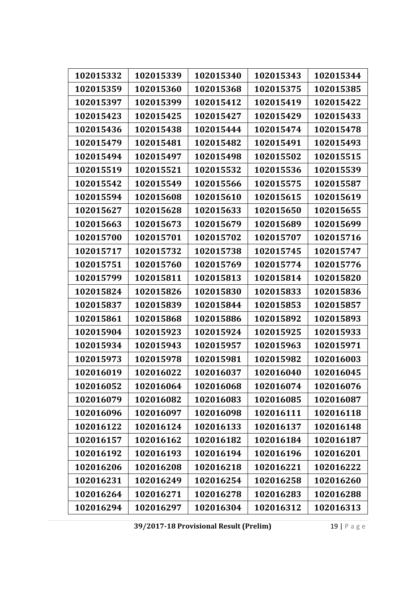| 102015332 | 102015339 | 102015340 | 102015343 | 102015344 |
|-----------|-----------|-----------|-----------|-----------|
| 102015359 | 102015360 | 102015368 | 102015375 | 102015385 |
| 102015397 | 102015399 | 102015412 | 102015419 | 102015422 |
| 102015423 | 102015425 | 102015427 | 102015429 | 102015433 |
| 102015436 | 102015438 | 102015444 | 102015474 | 102015478 |
| 102015479 | 102015481 | 102015482 | 102015491 | 102015493 |
| 102015494 | 102015497 | 102015498 | 102015502 | 102015515 |
| 102015519 | 102015521 | 102015532 | 102015536 | 102015539 |
| 102015542 | 102015549 | 102015566 | 102015575 | 102015587 |
| 102015594 | 102015608 | 102015610 | 102015615 | 102015619 |
| 102015627 | 102015628 | 102015633 | 102015650 | 102015655 |
| 102015663 | 102015673 | 102015679 | 102015689 | 102015699 |
| 102015700 | 102015701 | 102015702 | 102015707 | 102015716 |
| 102015717 | 102015732 | 102015738 | 102015745 | 102015747 |
| 102015751 | 102015760 | 102015769 | 102015774 | 102015776 |
| 102015799 | 102015811 | 102015813 | 102015814 | 102015820 |
| 102015824 | 102015826 | 102015830 | 102015833 | 102015836 |
| 102015837 | 102015839 | 102015844 | 102015853 | 102015857 |
| 102015861 | 102015868 | 102015886 | 102015892 | 102015893 |
| 102015904 | 102015923 | 102015924 | 102015925 | 102015933 |
| 102015934 | 102015943 | 102015957 | 102015963 | 102015971 |
| 102015973 | 102015978 | 102015981 | 102015982 | 102016003 |
| 102016019 | 102016022 | 102016037 | 102016040 | 102016045 |
| 102016052 | 102016064 | 102016068 | 102016074 | 102016076 |
| 102016079 | 102016082 | 102016083 | 102016085 | 102016087 |
| 102016096 | 102016097 | 102016098 | 102016111 | 102016118 |
| 102016122 | 102016124 | 102016133 | 102016137 | 102016148 |
| 102016157 | 102016162 | 102016182 | 102016184 | 102016187 |
| 102016192 | 102016193 | 102016194 | 102016196 | 102016201 |
| 102016206 | 102016208 | 102016218 | 102016221 | 102016222 |
| 102016231 | 102016249 | 102016254 | 102016258 | 102016260 |
| 102016264 | 102016271 | 102016278 | 102016283 | 102016288 |
| 102016294 | 102016297 | 102016304 | 102016312 | 102016313 |

**39/2017‐18 Provisional Result (Prelim)** 19 | Page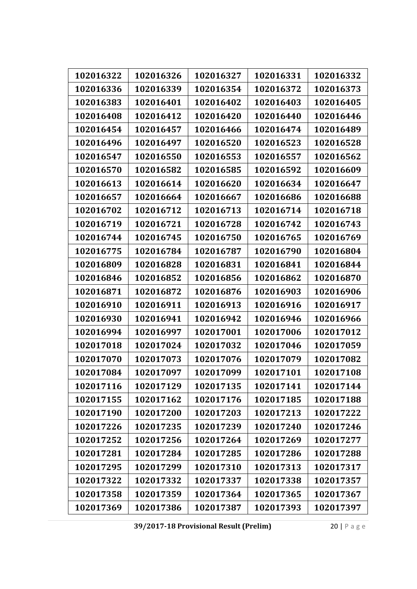| 102016322 | 102016326 | 102016327 | 102016331 | 102016332 |
|-----------|-----------|-----------|-----------|-----------|
| 102016336 | 102016339 | 102016354 | 102016372 | 102016373 |
| 102016383 | 102016401 | 102016402 | 102016403 | 102016405 |
| 102016408 | 102016412 | 102016420 | 102016440 | 102016446 |
| 102016454 | 102016457 | 102016466 | 102016474 | 102016489 |
| 102016496 | 102016497 | 102016520 | 102016523 | 102016528 |
| 102016547 | 102016550 | 102016553 | 102016557 | 102016562 |
| 102016570 | 102016582 | 102016585 | 102016592 | 102016609 |
| 102016613 | 102016614 | 102016620 | 102016634 | 102016647 |
| 102016657 | 102016664 | 102016667 | 102016686 | 102016688 |
| 102016702 | 102016712 | 102016713 | 102016714 | 102016718 |
| 102016719 | 102016721 | 102016728 | 102016742 | 102016743 |
| 102016744 | 102016745 | 102016750 | 102016765 | 102016769 |
| 102016775 | 102016784 | 102016787 | 102016790 | 102016804 |
| 102016809 | 102016828 | 102016831 | 102016841 | 102016844 |
| 102016846 | 102016852 | 102016856 | 102016862 | 102016870 |
| 102016871 | 102016872 | 102016876 | 102016903 | 102016906 |
| 102016910 | 102016911 | 102016913 | 102016916 | 102016917 |
| 102016930 | 102016941 | 102016942 | 102016946 | 102016966 |
| 102016994 | 102016997 | 102017001 | 102017006 | 102017012 |
| 102017018 | 102017024 | 102017032 | 102017046 | 102017059 |
| 102017070 | 102017073 | 102017076 | 102017079 | 102017082 |
| 102017084 | 102017097 | 102017099 | 102017101 | 102017108 |
| 102017116 | 102017129 | 102017135 | 102017141 | 102017144 |
| 102017155 | 102017162 | 102017176 | 102017185 | 102017188 |
| 102017190 | 102017200 | 102017203 | 102017213 | 102017222 |
| 102017226 | 102017235 | 102017239 | 102017240 | 102017246 |
| 102017252 | 102017256 | 102017264 | 102017269 | 102017277 |
| 102017281 | 102017284 | 102017285 | 102017286 | 102017288 |
| 102017295 | 102017299 | 102017310 | 102017313 | 102017317 |
| 102017322 | 102017332 | 102017337 | 102017338 | 102017357 |
| 102017358 | 102017359 | 102017364 | 102017365 | 102017367 |
| 102017369 | 102017386 | 102017387 | 102017393 | 102017397 |

**39/2017‐18 Provisional Result (Prelim)** 20 | Page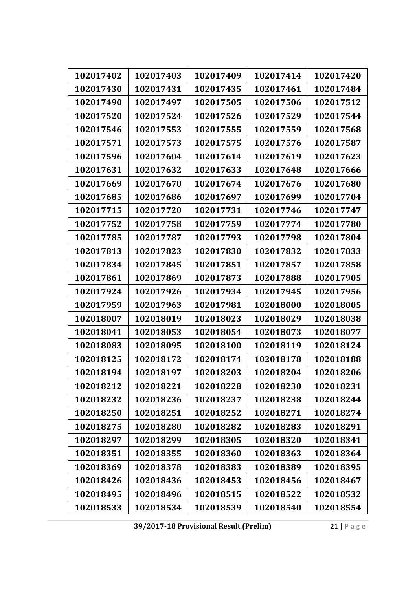| 102017402 | 102017403 | 102017409 | 102017414 | 102017420 |
|-----------|-----------|-----------|-----------|-----------|
| 102017430 | 102017431 | 102017435 | 102017461 | 102017484 |
| 102017490 | 102017497 | 102017505 | 102017506 | 102017512 |
| 102017520 | 102017524 | 102017526 | 102017529 | 102017544 |
| 102017546 | 102017553 | 102017555 | 102017559 | 102017568 |
| 102017571 | 102017573 | 102017575 | 102017576 | 102017587 |
| 102017596 | 102017604 | 102017614 | 102017619 | 102017623 |
| 102017631 | 102017632 | 102017633 | 102017648 | 102017666 |
|           |           |           |           |           |
| 102017669 | 102017670 | 102017674 | 102017676 | 102017680 |
| 102017685 | 102017686 | 102017697 | 102017699 | 102017704 |
| 102017715 | 102017720 | 102017731 | 102017746 | 102017747 |
| 102017752 | 102017758 | 102017759 | 102017774 | 102017780 |
| 102017785 | 102017787 | 102017793 | 102017798 | 102017804 |
| 102017813 | 102017823 | 102017830 | 102017832 | 102017833 |
| 102017834 | 102017845 | 102017851 | 102017857 | 102017858 |
| 102017861 | 102017869 | 102017873 | 102017888 | 102017905 |
| 102017924 | 102017926 | 102017934 | 102017945 | 102017956 |
| 102017959 | 102017963 | 102017981 | 102018000 | 102018005 |
| 102018007 | 102018019 | 102018023 | 102018029 | 102018038 |
| 102018041 | 102018053 | 102018054 | 102018073 | 102018077 |
| 102018083 | 102018095 | 102018100 | 102018119 | 102018124 |
| 102018125 | 102018172 | 102018174 | 102018178 | 102018188 |
| 102018194 | 102018197 | 102018203 | 102018204 | 102018206 |
| 102018212 | 102018221 | 102018228 | 102018230 | 102018231 |
| 102018232 | 102018236 | 102018237 | 102018238 | 102018244 |
| 102018250 | 102018251 | 102018252 | 102018271 | 102018274 |
| 102018275 | 102018280 | 102018282 | 102018283 | 102018291 |
| 102018297 | 102018299 | 102018305 | 102018320 | 102018341 |
| 102018351 | 102018355 | 102018360 | 102018363 | 102018364 |
| 102018369 | 102018378 | 102018383 | 102018389 | 102018395 |
| 102018426 | 102018436 | 102018453 | 102018456 | 102018467 |
| 102018495 | 102018496 | 102018515 | 102018522 | 102018532 |
| 102018533 | 102018534 | 102018539 | 102018540 | 102018554 |

**39/2017‐18 Provisional Result (Prelim)** 21 | Page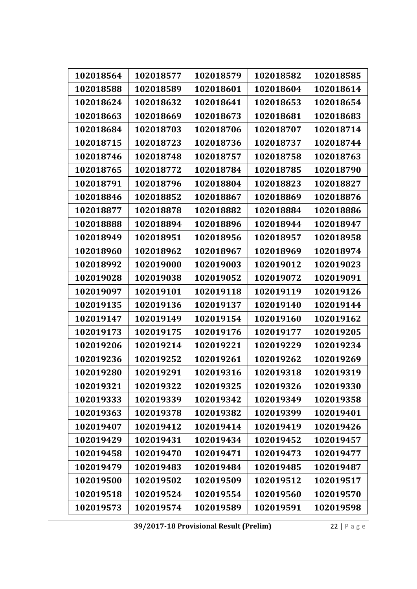| 102018564 | 102018577 | 102018579 | 102018582 | 102018585 |
|-----------|-----------|-----------|-----------|-----------|
| 102018588 | 102018589 | 102018601 | 102018604 | 102018614 |
| 102018624 | 102018632 | 102018641 | 102018653 | 102018654 |
| 102018663 | 102018669 | 102018673 | 102018681 | 102018683 |
| 102018684 | 102018703 | 102018706 | 102018707 | 102018714 |
| 102018715 | 102018723 | 102018736 | 102018737 | 102018744 |
| 102018746 | 102018748 | 102018757 | 102018758 | 102018763 |
| 102018765 | 102018772 | 102018784 | 102018785 | 102018790 |
|           |           |           |           |           |
| 102018791 | 102018796 | 102018804 | 102018823 | 102018827 |
| 102018846 | 102018852 | 102018867 | 102018869 | 102018876 |
| 102018877 | 102018878 | 102018882 | 102018884 | 102018886 |
| 102018888 | 102018894 | 102018896 | 102018944 | 102018947 |
| 102018949 | 102018951 | 102018956 | 102018957 | 102018958 |
| 102018960 | 102018962 | 102018967 | 102018969 | 102018974 |
| 102018992 | 102019000 | 102019003 | 102019012 | 102019023 |
| 102019028 | 102019038 | 102019052 | 102019072 | 102019091 |
| 102019097 | 102019101 | 102019118 | 102019119 | 102019126 |
| 102019135 | 102019136 | 102019137 | 102019140 | 102019144 |
| 102019147 | 102019149 | 102019154 | 102019160 | 102019162 |
| 102019173 | 102019175 | 102019176 | 102019177 | 102019205 |
| 102019206 | 102019214 | 102019221 | 102019229 | 102019234 |
| 102019236 | 102019252 | 102019261 | 102019262 | 102019269 |
| 102019280 | 102019291 | 102019316 | 102019318 | 102019319 |
| 102019321 | 102019322 | 102019325 | 102019326 | 102019330 |
| 102019333 | 102019339 | 102019342 | 102019349 | 102019358 |
| 102019363 | 102019378 | 102019382 | 102019399 | 102019401 |
| 102019407 | 102019412 | 102019414 | 102019419 | 102019426 |
| 102019429 | 102019431 | 102019434 | 102019452 | 102019457 |
| 102019458 | 102019470 | 102019471 | 102019473 | 102019477 |
| 102019479 | 102019483 | 102019484 | 102019485 | 102019487 |
| 102019500 | 102019502 | 102019509 | 102019512 | 102019517 |
| 102019518 | 102019524 | 102019554 | 102019560 | 102019570 |
| 102019573 | 102019574 | 102019589 | 102019591 | 102019598 |

**39/2017‐18 Provisional Result (Prelim)** 22 | Page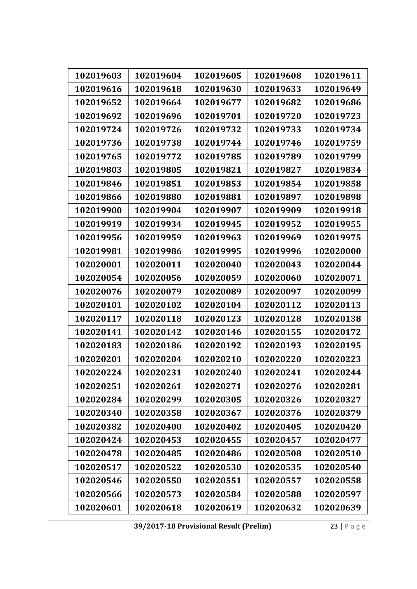| 102019603 | 102019604 | 102019605 | 102019608 | 102019611 |
|-----------|-----------|-----------|-----------|-----------|
| 102019616 | 102019618 | 102019630 | 102019633 | 102019649 |
| 102019652 | 102019664 | 102019677 | 102019682 | 102019686 |
| 102019692 | 102019696 | 102019701 | 102019720 | 102019723 |
| 102019724 | 102019726 | 102019732 | 102019733 | 102019734 |
| 102019736 | 102019738 | 102019744 | 102019746 | 102019759 |
| 102019765 | 102019772 | 102019785 | 102019789 | 102019799 |
| 102019803 | 102019805 | 102019821 | 102019827 | 102019834 |
| 102019846 | 102019851 | 102019853 | 102019854 | 102019858 |
| 102019866 | 102019880 | 102019881 | 102019897 | 102019898 |
| 102019900 | 102019904 | 102019907 | 102019909 | 102019918 |
| 102019919 | 102019934 | 102019945 | 102019952 | 102019955 |
| 102019956 | 102019959 | 102019963 | 102019969 | 102019975 |
| 102019981 | 102019986 | 102019995 | 102019996 | 102020000 |
| 102020001 | 102020011 | 102020040 | 102020043 | 102020044 |
| 102020054 | 102020056 | 102020059 | 102020060 | 102020071 |
| 102020076 | 102020079 | 102020089 | 102020097 | 102020099 |
| 102020101 | 102020102 | 102020104 | 102020112 | 102020113 |
| 102020117 | 102020118 | 102020123 | 102020128 | 102020138 |
| 102020141 | 102020142 | 102020146 | 102020155 | 102020172 |
| 102020183 | 102020186 | 102020192 | 102020193 | 102020195 |
| 102020201 | 102020204 | 102020210 | 102020220 | 102020223 |
| 102020224 | 102020231 | 102020240 | 102020241 | 102020244 |
| 102020251 | 102020261 | 102020271 | 102020276 | 102020281 |
| 102020284 | 102020299 | 102020305 | 102020326 | 102020327 |
| 102020340 | 102020358 | 102020367 | 102020376 | 102020379 |
| 102020382 | 102020400 | 102020402 | 102020405 | 102020420 |
| 102020424 | 102020453 | 102020455 | 102020457 | 102020477 |
| 102020478 | 102020485 | 102020486 | 102020508 | 102020510 |
| 102020517 | 102020522 | 102020530 | 102020535 | 102020540 |
| 102020546 | 102020550 | 102020551 | 102020557 | 102020558 |
| 102020566 | 102020573 | 102020584 | 102020588 | 102020597 |
| 102020601 | 102020618 | 102020619 | 102020632 | 102020639 |

**39/2017‐18 Provisional Result (Prelim)** 23 | Page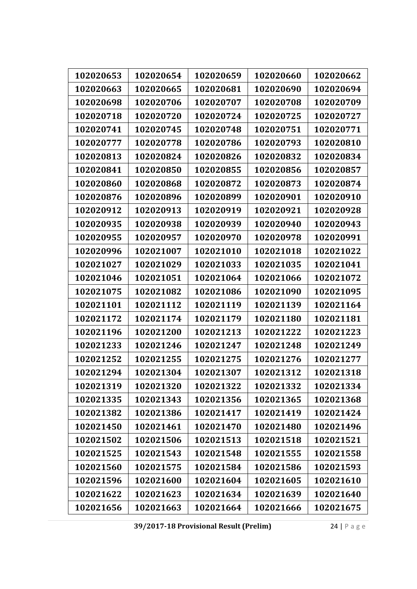| 102020653 | 102020654 | 102020659 | 102020660 | 102020662 |
|-----------|-----------|-----------|-----------|-----------|
| 102020663 | 102020665 | 102020681 | 102020690 | 102020694 |
| 102020698 | 102020706 | 102020707 | 102020708 | 102020709 |
| 102020718 | 102020720 | 102020724 | 102020725 | 102020727 |
| 102020741 | 102020745 | 102020748 | 102020751 | 102020771 |
| 102020777 | 102020778 | 102020786 | 102020793 | 102020810 |
| 102020813 | 102020824 | 102020826 | 102020832 | 102020834 |
| 102020841 | 102020850 | 102020855 | 102020856 | 102020857 |
| 102020860 | 102020868 | 102020872 | 102020873 | 102020874 |
| 102020876 | 102020896 | 102020899 | 102020901 | 102020910 |
| 102020912 | 102020913 | 102020919 | 102020921 | 102020928 |
| 102020935 | 102020938 | 102020939 | 102020940 | 102020943 |
| 102020955 | 102020957 | 102020970 | 102020978 | 102020991 |
| 102020996 | 102021007 | 102021010 | 102021018 | 102021022 |
| 102021027 | 102021029 | 102021033 | 102021035 | 102021041 |
| 102021046 | 102021051 | 102021064 | 102021066 | 102021072 |
| 102021075 | 102021082 | 102021086 | 102021090 | 102021095 |
| 102021101 | 102021112 | 102021119 | 102021139 | 102021164 |
| 102021172 | 102021174 | 102021179 | 102021180 | 102021181 |
| 102021196 | 102021200 | 102021213 | 102021222 | 102021223 |
| 102021233 | 102021246 | 102021247 | 102021248 | 102021249 |
| 102021252 | 102021255 | 102021275 | 102021276 | 102021277 |
| 102021294 | 102021304 | 102021307 | 102021312 | 102021318 |
| 102021319 | 102021320 | 102021322 | 102021332 | 102021334 |
| 102021335 | 102021343 | 102021356 | 102021365 | 102021368 |
| 102021382 | 102021386 | 102021417 | 102021419 | 102021424 |
| 102021450 | 102021461 | 102021470 | 102021480 | 102021496 |
| 102021502 | 102021506 | 102021513 | 102021518 | 102021521 |
| 102021525 | 102021543 | 102021548 | 102021555 | 102021558 |
| 102021560 | 102021575 | 102021584 | 102021586 | 102021593 |
| 102021596 | 102021600 | 102021604 | 102021605 | 102021610 |
| 102021622 | 102021623 | 102021634 | 102021639 | 102021640 |
| 102021656 | 102021663 | 102021664 | 102021666 | 102021675 |

**39/2017‐18 Provisional Result (Prelim)** 24 | Page